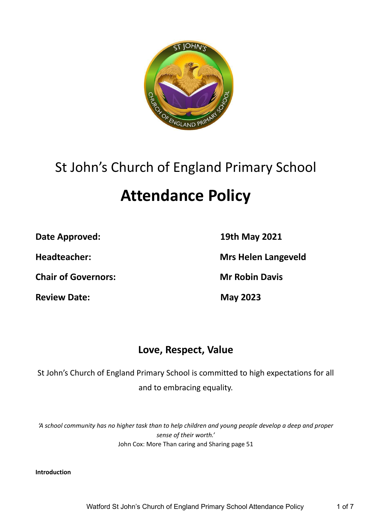

# St John's Church of England Primary School

# **Attendance Policy**

**Date Approved: 19th May 2021**

**Chair of Governors: Mr Robin Davis**

**Review Date: May 2023**

**Headteacher: Mrs Helen Langeveld**

# **Love, Respect, Value**

St John's Church of England Primary School is committed to high expectations for all and to embracing equality.

'A school community has no higher task than to help children and young people develop a deep and proper *sense of their worth.'* John Cox: More Than caring and Sharing page 51

**Introduction**

Watford St John's Church of England Primary School Attendance Policy 1 of 7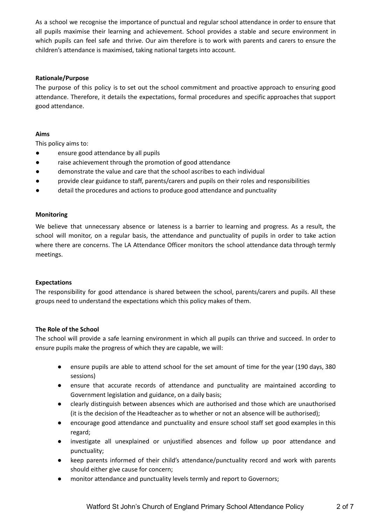As a school we recognise the importance of punctual and regular school attendance in order to ensure that all pupils maximise their learning and achievement. School provides a stable and secure environment in which pupils can feel safe and thrive. Our aim therefore is to work with parents and carers to ensure the children's attendance is maximised, taking national targets into account.

# **Rationale/Purpose**

The purpose of this policy is to set out the school commitment and proactive approach to ensuring good attendance. Therefore, it details the expectations, formal procedures and specific approaches that support good attendance.

# **Aims**

This policy aims to:

- ensure good attendance by all pupils
- raise achievement through the promotion of good attendance
- demonstrate the value and care that the school ascribes to each individual
- provide clear guidance to staff, parents/carers and pupils on their roles and responsibilities
- detail the procedures and actions to produce good attendance and punctuality

#### **Monitoring**

We believe that unnecessary absence or lateness is a barrier to learning and progress. As a result, the school will monitor, on a regular basis, the attendance and punctuality of pupils in order to take action where there are concerns. The LA Attendance Officer monitors the school attendance data through termly meetings.

#### **Expectations**

The responsibility for good attendance is shared between the school, parents/carers and pupils. All these groups need to understand the expectations which this policy makes of them.

#### **The Role of the School**

The school will provide a safe learning environment in which all pupils can thrive and succeed. In order to ensure pupils make the progress of which they are capable, we will:

- ensure pupils are able to attend school for the set amount of time for the year (190 days, 380 sessions)
- ensure that accurate records of attendance and punctuality are maintained according to Government legislation and guidance, on a daily basis;
- clearly distinguish between absences which are authorised and those which are unauthorised (it is the decision of the Headteacher as to whether or not an absence will be authorised);
- encourage good attendance and punctuality and ensure school staff set good examples in this regard;
- investigate all unexplained or unjustified absences and follow up poor attendance and punctuality;
- keep parents informed of their child's attendance/punctuality record and work with parents should either give cause for concern;
- monitor attendance and punctuality levels termly and report to Governors;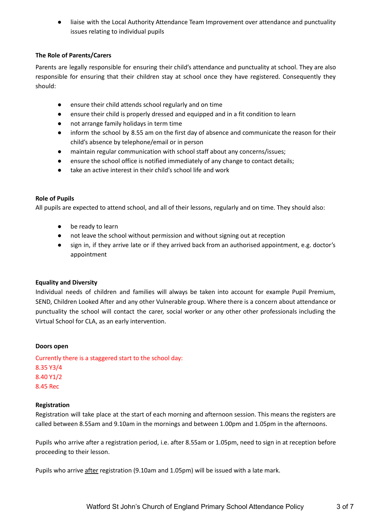liaise with the Local Authority Attendance Team Improvement over attendance and punctuality issues relating to individual pupils

# **The Role of Parents/Carers**

Parents are legally responsible for ensuring their child's attendance and punctuality at school. They are also responsible for ensuring that their children stay at school once they have registered. Consequently they should:

- ensure their child attends school regularly and on time
- ensure their child is properly dressed and equipped and in a fit condition to learn
- not arrange family holidays in term time
- inform the school by 8.55 am on the first day of absence and communicate the reason for their child's absence by telephone/email or in person
- maintain regular communication with school staff about any concerns/issues;
- ensure the school office is notified immediately of any change to contact details;
- take an active interest in their child's school life and work

# **Role of Pupils**

All pupils are expected to attend school, and all of their lessons, regularly and on time. They should also:

- be ready to learn
- not leave the school without permission and without signing out at reception
- sign in, if they arrive late or if they arrived back from an authorised appointment, e.g. doctor's appointment

# **Equality and Diversity**

Individual needs of children and families will always be taken into account for example Pupil Premium, SEND, Children Looked After and any other Vulnerable group. Where there is a concern about attendance or punctuality the school will contact the carer, social worker or any other other professionals including the Virtual School for CLA, as an early intervention.

#### **Doors open**

Currently there is a staggered start to the school day: 8.35 Y3/4 8.40 Y1/2 8.45 Rec

#### **Registration**

Registration will take place at the start of each morning and afternoon session. This means the registers are called between 8.55am and 9.10am in the mornings and between 1.00pm and 1.05pm in the afternoons.

Pupils who arrive after a registration period, i.e. after 8.55am or 1.05pm, need to sign in at reception before proceeding to their lesson.

Pupils who arrive after registration (9.10am and 1.05pm) will be issued with a late mark.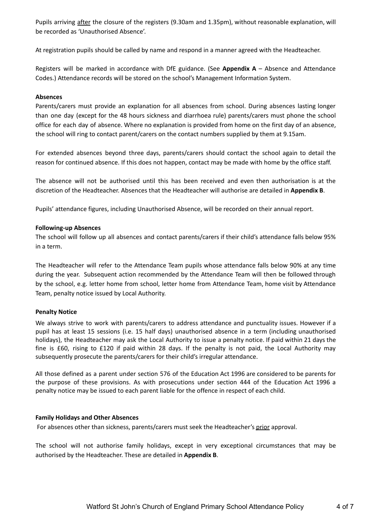Pupils arriving after the closure of the registers (9.30am and 1.35pm), without reasonable explanation, will be recorded as 'Unauthorised Absence'.

At registration pupils should be called by name and respond in a manner agreed with the Headteacher.

Registers will be marked in accordance with DfE guidance. (See **Appendix A** – Absence and Attendance Codes.) Attendance records will be stored on the school's Management Information System.

#### **Absences**

Parents/carers must provide an explanation for all absences from school. During absences lasting longer than one day (except for the 48 hours sickness and diarrhoea rule) parents/carers must phone the school office for each day of absence. Where no explanation is provided from home on the first day of an absence, the school will ring to contact parent/carers on the contact numbers supplied by them at 9.15am.

For extended absences beyond three days, parents/carers should contact the school again to detail the reason for continued absence. If this does not happen, contact may be made with home by the office staff.

The absence will not be authorised until this has been received and even then authorisation is at the discretion of the Headteacher. Absences that the Headteacher will authorise are detailed in **Appendix B**.

Pupils' attendance figures, including Unauthorised Absence, will be recorded on their annual report.

#### **Following-up Absences**

The school will follow up all absences and contact parents/carers if their child's attendance falls below 95% in a term.

The Headteacher will refer to the Attendance Team pupils whose attendance falls below 90% at any time during the year. Subsequent action recommended by the Attendance Team will then be followed through by the school, e.g. letter home from school, letter home from Attendance Team, home visit by Attendance Team, penalty notice issued by Local Authority.

#### **Penalty Notice**

We always strive to work with parents/carers to address attendance and punctuality issues. However if a pupil has at least 15 sessions (i.e. 15 half days) unauthorised absence in a term (including unauthorised holidays), the Headteacher may ask the Local Authority to issue a penalty notice. If paid within 21 days the fine is £60, rising to £120 if paid within 28 days. If the penalty is not paid, the Local Authority may subsequently prosecute the parents/carers for their child's irregular attendance.

All those defined as a parent under section 576 of the Education Act 1996 are considered to be parents for the purpose of these provisions. As with prosecutions under section 444 of the Education Act 1996 a penalty notice may be issued to each parent liable for the offence in respect of each child.

#### **Family Holidays and Other Absences**

For absences other than sickness, parents/carers must seek the Headteacher's prior approval.

The school will not authorise family holidays, except in very exceptional circumstances that may be authorised by the Headteacher. These are detailed in **Appendix B**.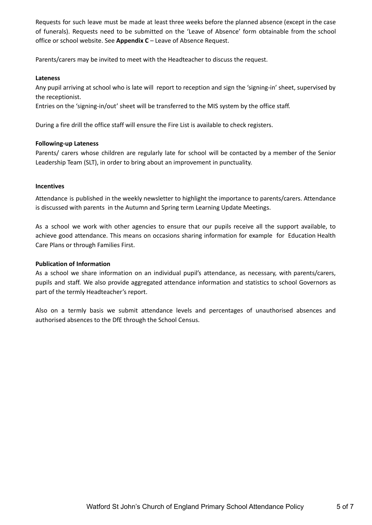Requests for such leave must be made at least three weeks before the planned absence (except in the case of funerals). Requests need to be submitted on the 'Leave of Absence' form obtainable from the school office or school website. See **Appendix C** – Leave of Absence Request.

Parents/carers may be invited to meet with the Headteacher to discuss the request.

#### **Lateness**

Any pupil arriving at school who is late will report to reception and sign the 'signing-in' sheet, supervised by the receptionist.

Entries on the 'signing-in/out' sheet will be transferred to the MIS system by the office staff.

During a fire drill the office staff will ensure the Fire List is available to check registers.

# **Following-up Lateness**

Parents/ carers whose children are regularly late for school will be contacted by a member of the Senior Leadership Team (SLT), in order to bring about an improvement in punctuality.

#### **Incentives**

Attendance is published in the weekly newsletter to highlight the importance to parents/carers. Attendance is discussed with parents in the Autumn and Spring term Learning Update Meetings.

As a school we work with other agencies to ensure that our pupils receive all the support available, to achieve good attendance. This means on occasions sharing information for example for Education Health Care Plans or through Families First.

#### **Publication of Information**

As a school we share information on an individual pupil's attendance, as necessary, with parents/carers, pupils and staff. We also provide aggregated attendance information and statistics to school Governors as part of the termly Headteacher's report.

Also on a termly basis we submit attendance levels and percentages of unauthorised absences and authorised absences to the DfE through the School Census.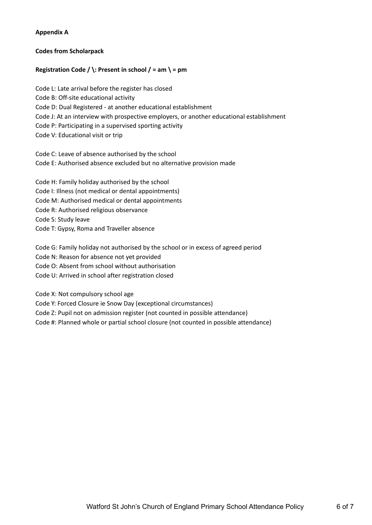# **Appendix A**

# **Codes from Scholarpack**

# **Registration Code**  $\prime$   $\prime$ : Present in school  $\prime$  = am  $\prime$  = pm

Code L: Late arrival before the register has closed Code B: Off-site educational activity Code D: Dual Registered - at another educational establishment Code J: At an interview with prospective employers, or another educational establishment Code P: Participating in a supervised sporting activity Code V: Educational visit or trip

Code C: Leave of absence authorised by the school Code E: Authorised absence excluded but no alternative provision made

Code H: Family holiday authorised by the school Code I: Illness (not medical or dental appointments) Code M: Authorised medical or dental appointments Code R: Authorised religious observance Code S: Study leave Code T: Gypsy, Roma and Traveller absence

Code G: Family holiday not authorised by the school or in excess of agreed period Code N: Reason for absence not yet provided Code O: Absent from school without authorisation Code U: Arrived in school after registration closed

Code X: Not compulsory school age

Code Y: Forced Closure ie Snow Day (exceptional circumstances)

Code Z: Pupil not on admission register (not counted in possible attendance)

Code #: Planned whole or partial school closure (not counted in possible attendance)